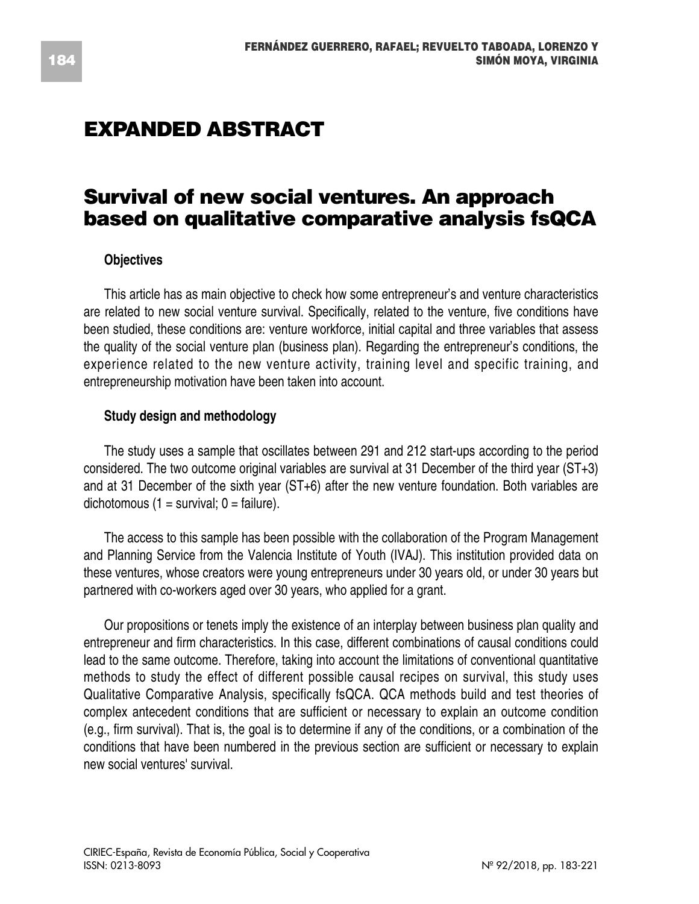# **EXPANDED ABSTRACT**

## **Survival of new social ventures. An approach based on qualitative comparative analysis fsQCA**

### **Objectives**

This article has as main objective to check how some entrepreneur's and venture characteristics are related to new social venture survival. Specifically, related to the venture, five conditions have been studied, these conditions are: venture workforce, initial capital and three variables that assess the quality of the social venture plan (business plan). Regarding the entrepreneur's conditions, the experience related to the new venture activity, training level and specific training, and entrepreneurship motivation have been taken into account.

#### **Study design and methodology**

The study uses a sample that oscillates between 291 and 212 start-ups according to the period considered. The two outcome original variables are survival at 31 December of the third year (ST+3) and at 31 December of the sixth year (ST+6) after the new venture foundation. Both variables are dichotomous  $(1 = \text{survival}; 0 = \text{failure}).$ 

The access to this sample has been possible with the collaboration of the Program Management and Planning Service from the Valencia Institute of Youth (IVAJ). This institution provided data on these ventures, whose creators were young entrepreneurs under 30 years old, or under 30 years but partnered with co-workers aged over 30 years, who applied for a grant.

Our propositions or tenets imply the existence of an interplay between business plan quality and entrepreneur and firm characteristics. In this case, different combinations of causal conditions could lead to the same outcome. Therefore, taking into account the limitations of conventional quantitative methods to study the effect of different possible causal recipes on survival, this study uses Qualitative Comparative Analysis, specifically fsQCA. QCA methods build and test theories of complex antecedent conditions that are sufficient or necessary to explain an outcome condition (e.g., firm survival). That is, the goal is to determine if any of the conditions, or a combination of the conditions that have been numbered in the previous section are sufficient or necessary to explain new social ventures' survival.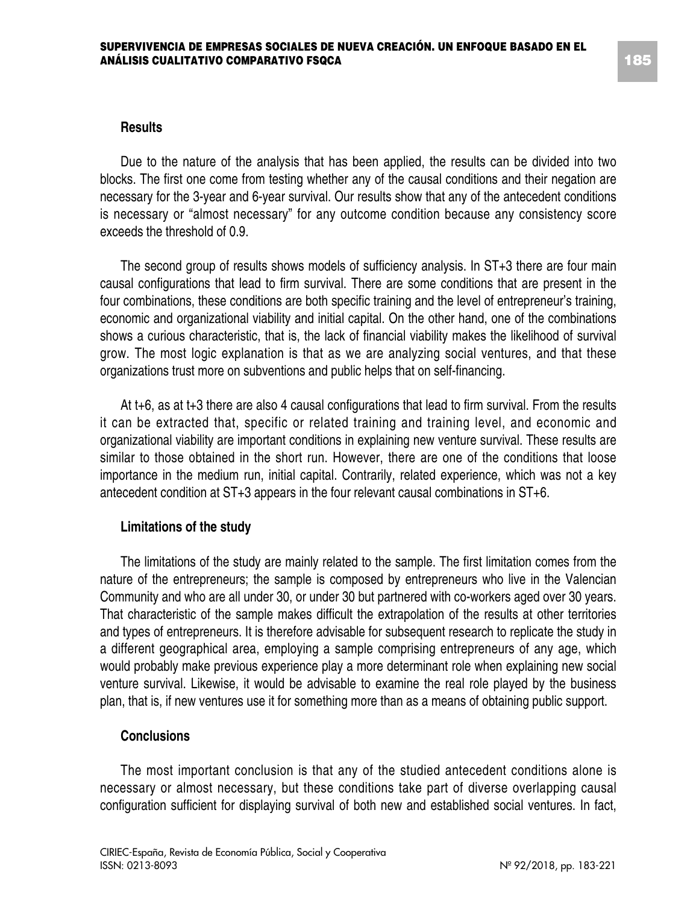#### **Results**

Due to the nature of the analysis that has been applied, the results can be divided into two blocks. The first one come from testing whether any of the causal conditions and their negation are necessary for the 3-year and 6-year survival. Our results show that any of the antecedent conditions is necessary or "almost necessary" for any outcome condition because any consistency score exceeds the threshold of 0.9.

The second group of results shows models of sufficiency analysis. In ST+3 there are four main causal configurations that lead to firm survival. There are some conditions that are present in the four combinations, these conditions are both specific training and the level of entrepreneur's training, economic and organizational viability and initial capital. On the other hand, one of the combinations shows a curious characteristic, that is, the lack of financial viability makes the likelihood of survival grow. The most logic explanation is that as we are analyzing social ventures, and that these organizations trust more on subventions and public helps that on self-financing.

At t+6, as at t+3 there are also 4 causal configurations that lead to firm survival. From the results it can be extracted that, specific or related training and training level, and economic and organizational viability are important conditions in explaining new venture survival. These results are similar to those obtained in the short run. However, there are one of the conditions that loose importance in the medium run, initial capital. Contrarily, related experience, which was not a key antecedent condition at ST+3 appears in the four relevant causal combinations in ST+6.

#### **Limitations of the study**

The limitations of the study are mainly related to the sample. The first limitation comes from the nature of the entrepreneurs; the sample is composed by entrepreneurs who live in the Valencian Community and who are all under 30, or under 30 but partnered with co-workers aged over 30 years. That characteristic of the sample makes difficult the extrapolation of the results at other territories and types of entrepreneurs. It is therefore advisable for subsequent research to replicate the study in a different geographical area, employing a sample comprising entrepreneurs of any age, which would probably make previous experience play a more determinant role when explaining new social venture survival. Likewise, it would be advisable to examine the real role played by the business plan, that is, if new ventures use it for something more than as a means of obtaining public support.

#### **Conclusions**

The most important conclusion is that any of the studied antecedent conditions alone is necessary or almost necessary, but these conditions take part of diverse overlapping causal configuration sufficient for displaying survival of both new and established social ventures. In fact,